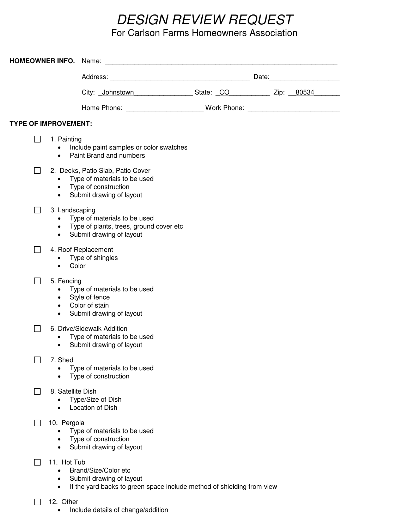# *DESIGN REVIEW REQUEST*

# For Carlson Farms Homeowners Association

|                             |                                                       |                                  |                                                                                                                         |                                                                                                | Date: 2008 |
|-----------------------------|-------------------------------------------------------|----------------------------------|-------------------------------------------------------------------------------------------------------------------------|------------------------------------------------------------------------------------------------|------------|
|                             |                                                       |                                  |                                                                                                                         | City: Johnstown _________________________________State: CO _____________________ Zip: ___80534 |            |
|                             |                                                       |                                  |                                                                                                                         | Home Phone: __________________________________Work Phone: _______________________              |            |
| <b>TYPE OF IMPROVEMENT:</b> |                                                       |                                  |                                                                                                                         |                                                                                                |            |
| $\sim$                      | 1. Painting<br>$\bullet$<br>$\bullet$                 |                                  | Include paint samples or color swatches<br>Paint Brand and numbers                                                      |                                                                                                |            |
|                             | $\bullet$<br>$\bullet$                                |                                  | 2. Decks, Patio Slab, Patio Cover<br>Type of materials to be used<br>• Type of construction<br>Submit drawing of layout |                                                                                                |            |
| $\overline{\phantom{a}}$    | 3. Landscaping<br>$\bullet$<br>$\bullet$<br>$\bullet$ |                                  | Type of materials to be used<br>Type of plants, trees, ground cover etc<br>Submit drawing of layout                     |                                                                                                |            |
|                             | 4. Roof Replacement<br>$\bullet$<br>$\bullet$         | Type of shingles<br>Color        |                                                                                                                         |                                                                                                |            |
| $\sim$                      | 5. Fencing<br>٠<br>٠<br>$\bullet$<br>٠                | Style of fence<br>Color of stain | Type of materials to be used<br>Submit drawing of layout                                                                |                                                                                                |            |
|                             | ٠<br>٠                                                |                                  | 6. Drive/Sidewalk Addition<br>Type of materials to be used<br>Submit drawing of layout                                  |                                                                                                |            |
|                             | 7. Shed<br>$\bullet$                                  |                                  | Type of materials to be used<br>Type of construction                                                                    |                                                                                                |            |
|                             | 8. Satellite Dish<br>$\bullet$                        | Location of Dish                 | Type/Size of Dish                                                                                                       |                                                                                                |            |
|                             | 10. Pergola<br>$\bullet$<br>$\bullet$<br>$\bullet$    |                                  | Type of materials to be used<br>Type of construction<br>Submit drawing of layout                                        |                                                                                                |            |
|                             | 11. Hot Tub<br>$\bullet$<br>$\bullet$<br>$\bullet$    |                                  | Brand/Size/Color etc<br>Submit drawing of layout                                                                        | If the yard backs to green space include method of shielding from view                         |            |
|                             | 12. Other                                             |                                  |                                                                                                                         |                                                                                                |            |

• Include details of change/addition